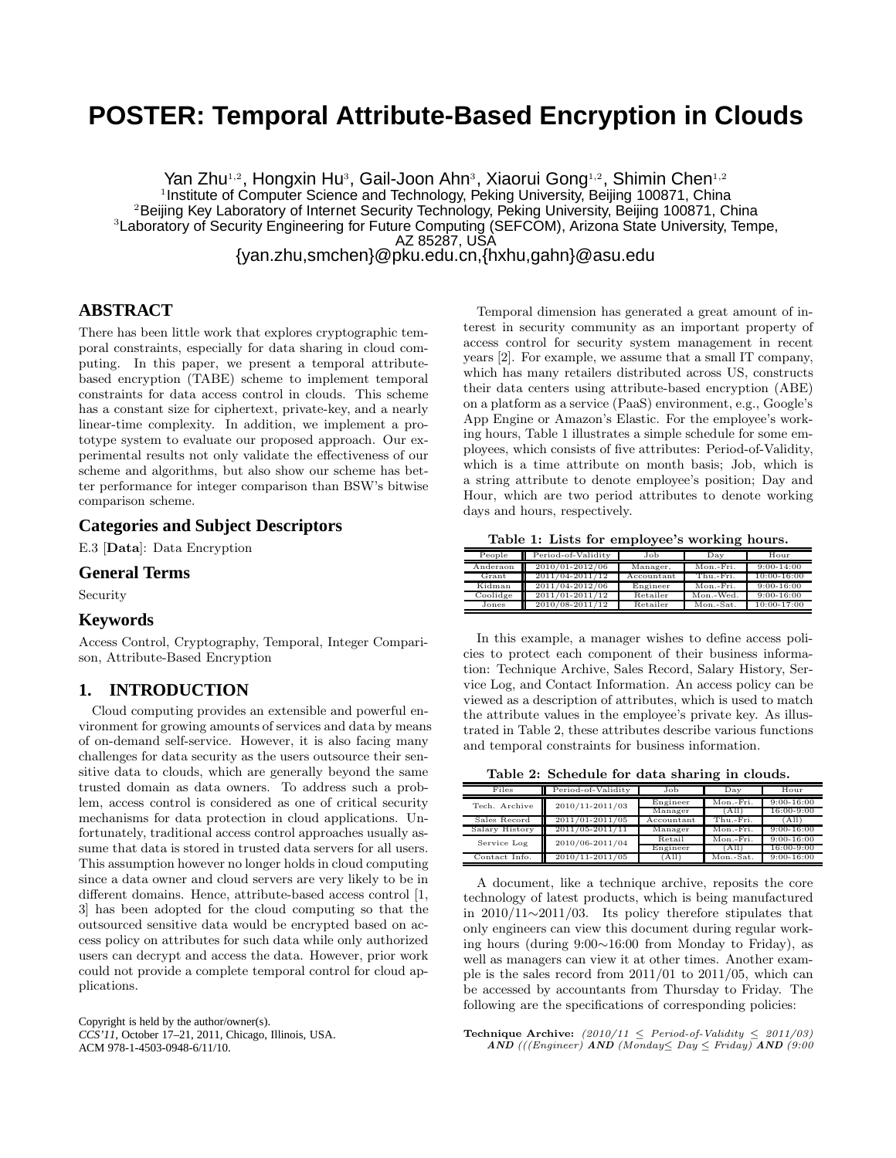# **POSTER: Temporal Attribute-Based Encryption in Clouds**

Yan Zhu<sup>1,2</sup>, Hongxin Hu<sup>3</sup>, Gail-Joon Ahn<sup>3</sup>, Xiaorui Gong<sup>1,2</sup>, Shimin Chen<sup>1,2</sup> <sup>1</sup>Institute of Computer Science and Technology, Peking University, Beijing 100871, China <sup>2</sup>Beijing Key Laboratory of Internet Security Technology, Peking University, Beijing 100871, China <sup>3</sup>Laboratory of Security Engineering for Future Computing (SEFCOM), Arizona State University, Tempe, AZ 85287, USA

{yan.zhu,smchen}@pku.edu.cn,{hxhu,gahn}@asu.edu

# **ABSTRACT**

There has been little work that explores cryptographic temporal constraints, especially for data sharing in cloud computing. In this paper, we present a temporal attributebased encryption (TABE) scheme to implement temporal constraints for data access control in clouds. This scheme has a constant size for ciphertext, private-key, and a nearly linear-time complexity. In addition, we implement a prototype system to evaluate our proposed approach. Our experimental results not only validate the effectiveness of our scheme and algorithms, but also show our scheme has better performance for integer comparison than BSW's bitwise comparison scheme.

# **Categories and Subject Descriptors**

E.3 [Data]: Data Encryption

#### **General Terms**

Security

# **Keywords**

Access Control, Cryptography, Temporal, Integer Comparison, Attribute-Based Encryption

## **1. INTRODUCTION**

Cloud computing provides an extensible and powerful environment for growing amounts of services and data by means of on-demand self-service. However, it is also facing many challenges for data security as the users outsource their sensitive data to clouds, which are generally beyond the same trusted domain as data owners. To address such a problem, access control is considered as one of critical security mechanisms for data protection in cloud applications. Unfortunately, traditional access control approaches usually assume that data is stored in trusted data servers for all users. This assumption however no longer holds in cloud computing since a data owner and cloud servers are very likely to be in different domains. Hence, attribute-based access control [1, 3] has been adopted for the cloud computing so that the outsourced sensitive data would be encrypted based on access policy on attributes for such data while only authorized users can decrypt and access the data. However, prior work could not provide a complete temporal control for cloud applications.

Copyright is held by the author/owner(s). *CCS'11,* October 17–21, 2011, Chicago, Illinois, USA. ACM 978-1-4503-0948-6/11/10.

Temporal dimension has generated a great amount of interest in security community as an important property of access control for security system management in recent years [2]. For example, we assume that a small IT company, which has many retailers distributed across US, constructs their data centers using attribute-based encryption (ABE) on a platform as a service (PaaS) environment, e.g., Google's App Engine or Amazon's Elastic. For the employee's working hours, Table 1 illustrates a simple schedule for some employees, which consists of five attributes: Period-of-Validity, which is a time attribute on month basis; Job, which is a string attribute to denote employee's position; Day and Hour, which are two period attributes to denote working days and hours, respectively.

Table 1: Lists for employee's working hours.

| People         | Period-of-Validity | Job        | Dav       | Hour            |
|----------------|--------------------|------------|-----------|-----------------|
| Anderaon       | 2010/01-2012/06    | Manager,   | Mon.-Fri. | $9:00 - 14:00$  |
| $_{\rm Grant}$ | 2011/04-2011/12    | Accountant | Thu.-Fri. | $10:00 - 16:00$ |
| Kidman         | 2011/04-2012/06    | Engineer   | Mon.-Fri. | $9:00 - 16:00$  |
| Coolidge       | 2011/01-2011/12    | Retailer   | Mon.-Wed. | $9:00 - 16:00$  |
| Jones          | 2010/08-2011/12    | Retailer   | Mon.-Sat. | $10:00 - 17:00$ |

In this example, a manager wishes to define access policies to protect each component of their business information: Technique Archive, Sales Record, Salary History, Service Log, and Contact Information. An access policy can be viewed as a description of attributes, which is used to match the attribute values in the employee's private key. As illustrated in Table 2, these attributes describe various functions and temporal constraints for business information.

Table 2: Schedule for data sharing in clouds.

| Files          | Period-of-Validity  | Job        | $_{\text{Dav}}$ | Hour           |  |
|----------------|---------------------|------------|-----------------|----------------|--|
| Tech. Archive  | 2010/11-2011/03     | Engineer   | Mon.-Fri.       | $9:00 - 16:00$ |  |
|                |                     | Manager    | (All            | 16:00-9:00     |  |
| Sales Record   | 2011/01-2011/05     | Accountant | Thu.-Fri.       | 'All           |  |
| Salary History | $2011/05 - 2011/11$ | Manager    | Mon.-Fri.       | $9:00 - 16:00$ |  |
| Service Log    | 2010/06-2011/04     | Retail     | Mon.-Fri.       | $9:00 - 16:00$ |  |
|                |                     | Engineer   | 'All            | 16:00-9:00     |  |
| Contact Info.  | 2010/11-2011/05     | All        | Mon.-Sat.       | $9:00 - 16:00$ |  |

A document, like a technique archive, reposits the core technology of latest products, which is being manufactured in 2010/11∼2011/03. Its policy therefore stipulates that only engineers can view this document during regular working hours (during 9:00∼16:00 from Monday to Friday), as well as managers can view it at other times. Another example is the sales record from 2011/01 to 2011/05, which can be accessed by accountants from Thursday to Friday. The following are the specifications of corresponding policies:

Technique Archive:  $(2010/11 \leq Period-of-Validity \leq 2011/03)$  $AND$  (((Engineer)  $AND$  (Monday  $\leq Day \leq Friday$ )  $AND$  (9:00)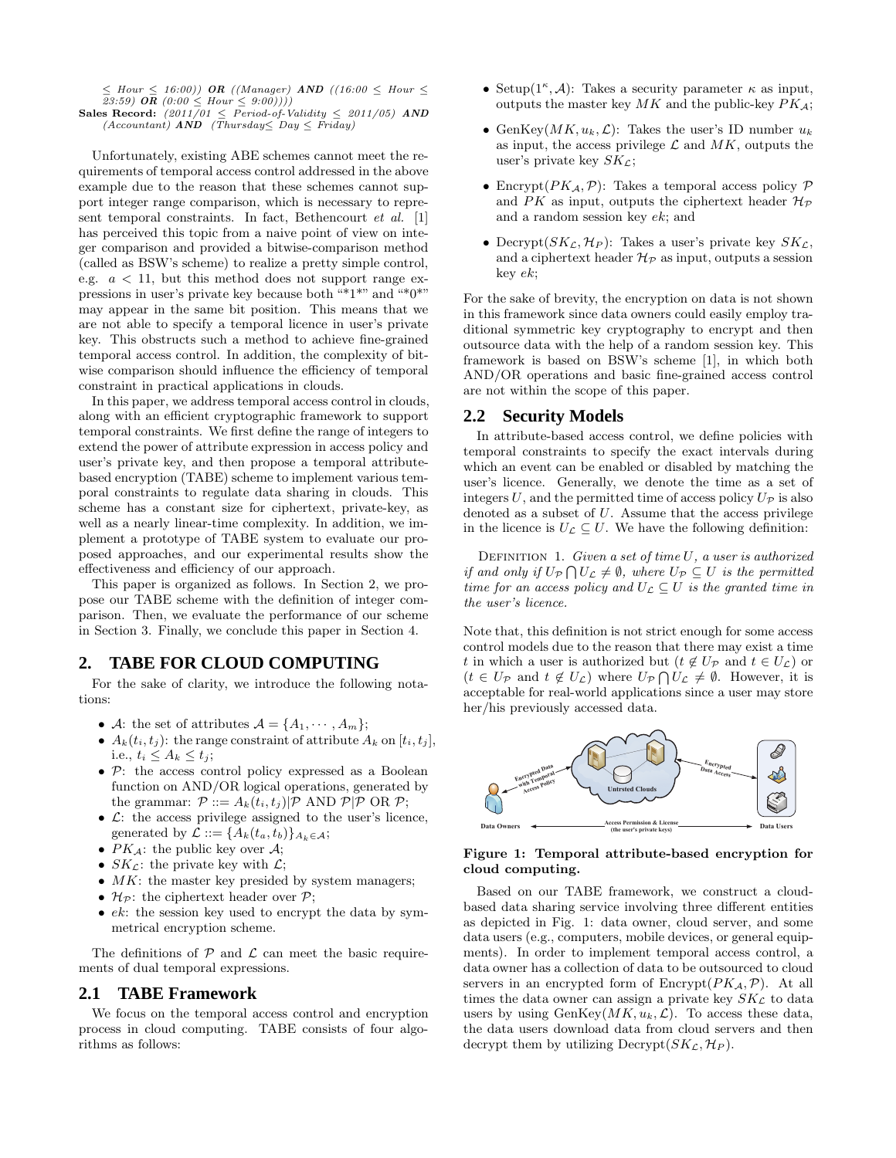$\leq$  Hour  $\leq$  16:00)) OR ((Manager) AND ((16:00  $\leq$  Hour  $\leq$ 23:59)  $\overline{OR}$   $(0:00 \leq Hour \leq 9:00))$ 

Sales Record:  $(2011/01 \le Period-of-Validity \le 2011/05)$  AND  $(Accountant)$  AND  $(Thursday \le Day \le Friday)$ 

Unfortunately, existing ABE schemes cannot meet the requirements of temporal access control addressed in the above example due to the reason that these schemes cannot support integer range comparison, which is necessary to represent temporal constraints. In fact, Bethencourt et al. [1] has perceived this topic from a naive point of view on integer comparison and provided a bitwise-comparison method (called as BSW's scheme) to realize a pretty simple control, e.g.  $a < 11$ , but this method does not support range expressions in user's private key because both "\*1\*" and "\*0\*" may appear in the same bit position. This means that we are not able to specify a temporal licence in user's private key. This obstructs such a method to achieve fine-grained temporal access control. In addition, the complexity of bitwise comparison should influence the efficiency of temporal constraint in practical applications in clouds.

In this paper, we address temporal access control in clouds, along with an efficient cryptographic framework to support temporal constraints. We first define the range of integers to extend the power of attribute expression in access policy and user's private key, and then propose a temporal attributebased encryption (TABE) scheme to implement various temporal constraints to regulate data sharing in clouds. This scheme has a constant size for ciphertext, private-key, as well as a nearly linear-time complexity. In addition, we implement a prototype of TABE system to evaluate our proposed approaches, and our experimental results show the effectiveness and efficiency of our approach.

This paper is organized as follows. In Section 2, we propose our TABE scheme with the definition of integer comparison. Then, we evaluate the performance of our scheme in Section 3. Finally, we conclude this paper in Section 4.

# **2. TABE FOR CLOUD COMPUTING**

For the sake of clarity, we introduce the following notations:

- A: the set of attributes  $\mathcal{A} = \{A_1, \cdots, A_m\};$
- $A_k(t_i, t_j)$ : the range constraint of attribute  $A_k$  on  $[t_i, t_j]$ , i.e.,  $t_i \leq A_k \leq t_j$ ;
- $\bullet$   $\mathcal{P}$ : the access control policy expressed as a Boolean function on AND/OR logical operations, generated by the grammar:  $\mathcal{P} ::= A_k(t_i, t_j) | \mathcal{P}$  AND  $\mathcal{P} | \mathcal{P}$  OR  $\mathcal{P}$ ;
- $\bullet$   $\mathcal{L}$ : the access privilege assigned to the user's licence, generated by  $\mathcal{L} ::= \{A_k(t_a, t_b)\}_{A_k \in \mathcal{A}};$
- $PK_{\mathcal{A}}$ : the public key over  $\mathcal{A}$ ;
- $SK_{\mathcal{L}}$ : the private key with  $\mathcal{L}$ ;
- $MK:$  the master key presided by system managers;
- $\mathcal{H}_{\mathcal{P}}$ : the ciphertext header over  $\mathcal{P}$ ;
- $ek$ : the session key used to encrypt the data by symmetrical encryption scheme.

The definitions of  $P$  and  $\mathcal L$  can meet the basic requirements of dual temporal expressions.

# **2.1 TABE Framework**

We focus on the temporal access control and encryption process in cloud computing. TABE consists of four algorithms as follows:

- Setup $(1^{\kappa}, \mathcal{A})$ : Takes a security parameter  $\kappa$  as input, outputs the master key  $MK$  and the public-key  $PK<sub>A</sub>$ ;
- GenKey $(MK, u_k, \mathcal{L})$ : Takes the user's ID number  $u_k$ as input, the access privilege  $\mathcal L$  and  $MK$ , outputs the user's private key  $SK_{\mathcal{L}}$ ;
- Encrypt( $PK_A, \mathcal{P}$ ): Takes a temporal access policy  $\mathcal P$ and PK as input, outputs the ciphertext header  $\mathcal{H}_{\mathcal{P}}$ and a random session key ek; and
- Decrypt $(SK_{\mathcal{L}}, \mathcal{H}_P)$ : Takes a user's private key  $SK_{\mathcal{L}},$ and a ciphertext header  $\mathcal{H}_{\mathcal{P}}$  as input, outputs a session key ek;

For the sake of brevity, the encryption on data is not shown in this framework since data owners could easily employ traditional symmetric key cryptography to encrypt and then outsource data with the help of a random session key. This framework is based on BSW's scheme [1], in which both AND/OR operations and basic fine-grained access control are not within the scope of this paper.

# **2.2 Security Models**

In attribute-based access control, we define policies with temporal constraints to specify the exact intervals during which an event can be enabled or disabled by matching the user's licence. Generally, we denote the time as a set of integers U, and the permitted time of access policy  $U_{\mathcal{P}}$  is also denoted as a subset of U. Assume that the access privilege in the licence is  $U_{\mathcal{L}} \subseteq U$ . We have the following definition:

DEFINITION 1. Given a set of time  $U$ , a user is authorized if and only if  $U_{\mathcal{P}} \cap U_{\mathcal{L}} \neq \emptyset$ , where  $U_{\mathcal{P}} \subseteq U$  is the permitted time for an access policy and  $U_{\mathcal{L}} \subseteq U$  is the granted time in the user's licence.

Note that, this definition is not strict enough for some access control models due to the reason that there may exist a time t in which a user is authorized but  $(t \notin U_{\mathcal{P}}$  and  $t \in U_{\mathcal{L}})$  or  $(t \in U_{\mathcal{P}} \text{ and } t \notin U_{\mathcal{L}})$  where  $U_{\mathcal{P}} \cap U_{\mathcal{L}} \neq \emptyset$ . However, it is acceptable for real-world applications since a user may store her/his previously accessed data.



#### Figure 1: Temporal attribute-based encryption for cloud computing.

Based on our TABE framework, we construct a cloudbased data sharing service involving three different entities as depicted in Fig. 1: data owner, cloud server, and some data users (e.g., computers, mobile devices, or general equipments). In order to implement temporal access control, a data owner has a collection of data to be outsourced to cloud servers in an encrypted form of  $\text{Encrypt}(PK_{\mathcal{A}}, \mathcal{P})$ . At all times the data owner can assign a private key  $SK_{\mathcal{L}}$  to data users by using  $GenKey(MK, u_k, \mathcal{L})$ . To access these data, the data users download data from cloud servers and then decrypt them by utilizing  $\text{Decrypt}(SK_{\mathcal{L}}, \mathcal{H}_{P}).$